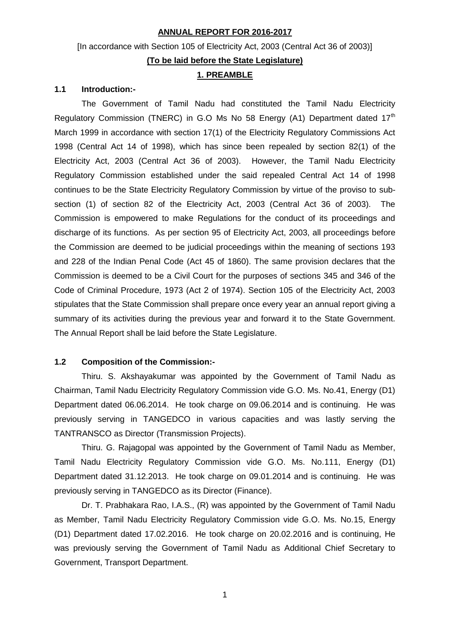# **ANNUAL REPORT FOR 2016-2017**

# [In accordance with Section 105 of Electricity Act, 2003 (Central Act 36 of 2003)] **(To be laid before the State Legislature)**

### **1. PREAMBLE**

### **1.1 Introduction:-**

The Government of Tamil Nadu had constituted the Tamil Nadu Electricity Regulatory Commission (TNERC) in G.O Ms No 58 Energy (A1) Department dated  $17<sup>th</sup>$ March 1999 in accordance with section 17(1) of the Electricity Regulatory Commissions Act 1998 (Central Act 14 of 1998), which has since been repealed by section 82(1) of the Electricity Act, 2003 (Central Act 36 of 2003). However, the Tamil Nadu Electricity Regulatory Commission established under the said repealed Central Act 14 of 1998 continues to be the State Electricity Regulatory Commission by virtue of the proviso to subsection (1) of section 82 of the Electricity Act, 2003 (Central Act 36 of 2003). The Commission is empowered to make Regulations for the conduct of its proceedings and discharge of its functions. As per section 95 of Electricity Act, 2003, all proceedings before the Commission are deemed to be judicial proceedings within the meaning of sections 193 and 228 of the Indian Penal Code (Act 45 of 1860). The same provision declares that the Commission is deemed to be a Civil Court for the purposes of sections 345 and 346 of the Code of Criminal Procedure, 1973 (Act 2 of 1974). Section 105 of the Electricity Act, 2003 stipulates that the State Commission shall prepare once every year an annual report giving a summary of its activities during the previous year and forward it to the State Government. The Annual Report shall be laid before the State Legislature.

### **1.2 Composition of the Commission:-**

Thiru. S. Akshayakumar was appointed by the Government of Tamil Nadu as Chairman, Tamil Nadu Electricity Regulatory Commission vide G.O. Ms. No.41, Energy (D1) Department dated 06.06.2014. He took charge on 09.06.2014 and is continuing. He was previously serving in TANGEDCO in various capacities and was lastly serving the TANTRANSCO as Director (Transmission Projects).

Thiru. G. Rajagopal was appointed by the Government of Tamil Nadu as Member, Tamil Nadu Electricity Regulatory Commission vide G.O. Ms. No.111, Energy (D1) Department dated 31.12.2013. He took charge on 09.01.2014 and is continuing. He was previously serving in TANGEDCO as its Director (Finance).

Dr. T. Prabhakara Rao, I.A.S., (R) was appointed by the Government of Tamil Nadu as Member, Tamil Nadu Electricity Regulatory Commission vide G.O. Ms. No.15, Energy (D1) Department dated 17.02.2016. He took charge on 20.02.2016 and is continuing, He was previously serving the Government of Tamil Nadu as Additional Chief Secretary to Government, Transport Department.

1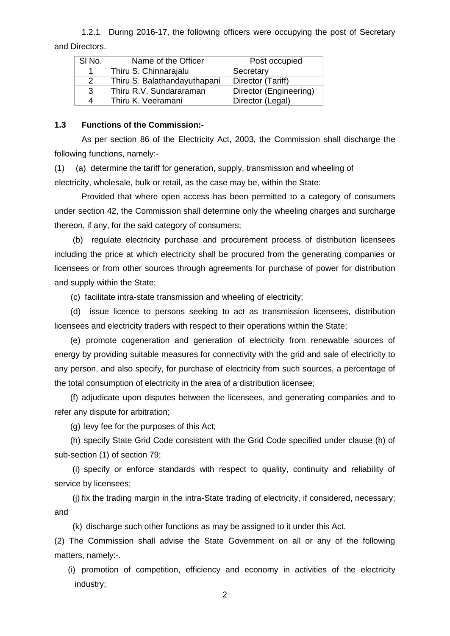1.2.1 During 2016-17, the following officers were occupying the post of Secretary and Directors.

| SI No.        | Name of the Officer          | Post occupied          |
|---------------|------------------------------|------------------------|
|               | Thiru S. Chinnarajalu        | Secretary              |
| $\mathcal{P}$ | Thiru S. Balathandayuthapani | Director (Tariff)      |
| 3             | Thiru R.V. Sundararaman      | Director (Engineering) |
| Δ             | Thiru K. Veeramani           | Director (Legal)       |

#### **1.3 Functions of the Commission:-**

As per section 86 of the Electricity Act, 2003, the Commission shall discharge the following functions, namely:-

(1) (a) determine the tariff for generation, supply, transmission and wheeling of electricity, wholesale, bulk or retail, as the case may be, within the State:

Provided that where open access has been permitted to a category of consumers under section 42, the Commission shall determine only the wheeling charges and surcharge thereon, if any, for the said category of consumers;

 (b) regulate electricity purchase and procurement process of distribution licensees including the price at which electricity shall be procured from the generating companies or licensees or from other sources through agreements for purchase of power for distribution and supply within the State;

(c) facilitate intra-state transmission and wheeling of electricity;

 (d) issue licence to persons seeking to act as transmission licensees, distribution licensees and electricity traders with respect to their operations within the State;

(e) promote cogeneration and generation of electricity from renewable sources of energy by providing suitable measures for connectivity with the grid and sale of electricity to any person, and also specify, for purchase of electricity from such sources, a percentage of the total consumption of electricity in the area of a distribution licensee;

(f) adjudicate upon disputes between the licensees, and generating companies and to refer any dispute for arbitration;

(g) levy fee for the purposes of this Act;

(h) specify State Grid Code consistent with the Grid Code specified under clause (h) of sub-section (1) of section 79;

(i) specify or enforce standards with respect to quality, continuity and reliability of service by licensees;

(j) fix the trading margin in the intra-State trading of electricity, if considered, necessary; and

(k) discharge such other functions as may be assigned to it under this Act.

(2) The Commission shall advise the State Government on all or any of the following matters, namely:-.

(i) promotion of competition, efficiency and economy in activities of the electricity industry;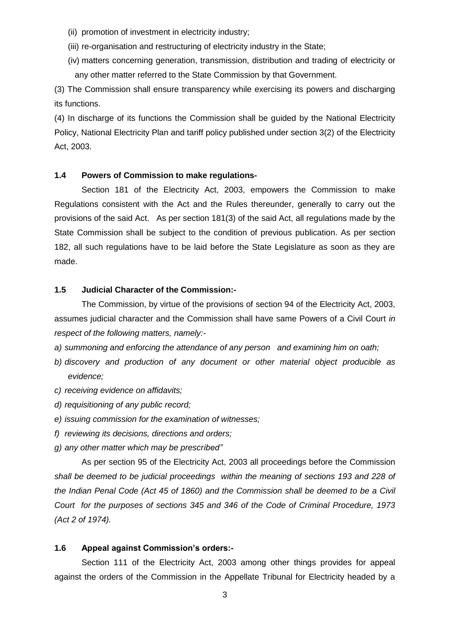- (ii) promotion of investment in electricity industry;
- (iii) re-organisation and restructuring of electricity industry in the State;
- (iv) matters concerning generation, transmission, distribution and trading of electricity or any other matter referred to the State Commission by that Government.

(3) The Commission shall ensure transparency while exercising its powers and discharging its functions.

(4) In discharge of its functions the Commission shall be guided by the National Electricity Policy, National Electricity Plan and tariff policy published under section 3(2) of the Electricity Act, 2003.

### **1.4 Powers of Commission to make regulations-**

Section 181 of the Electricity Act, 2003, empowers the Commission to make Regulations consistent with the Act and the Rules thereunder, generally to carry out the provisions of the said Act. As per section 181(3) of the said Act, all regulations made by the State Commission shall be subject to the condition of previous publication. As per section 182, all such regulations have to be laid before the State Legislature as soon as they are made.

#### **1.5 Judicial Character of the Commission:-**

The Commission, by virtue of the provisions of section 94 of the Electricity Act, 2003, assumes judicial character and the Commission shall have same Powers of a Civil Court *in respect of the following matters, namely:-*

- *a) summoning and enforcing the attendance of any person and examining him on oath;*
- *b) discovery and production of any document or other material object producible as evidence;*
- *c) receiving evidence on affidavits;*
- *d) requisitioning of any public record;*
- *e) issuing commission for the examination of witnesses;*
- *f) reviewing its decisions, directions and orders;*
- *g) any other matter which may be prescribed"*

As per section 95 of the Electricity Act, 2003 all proceedings before the Commission *shall be deemed to be judicial proceedings within the meaning of sections 193 and 228 of the Indian Penal Code (Act 45 of 1860) and the Commission shall be deemed to be a Civil Court for the purposes of sections 345 and 346 of the Code of Criminal Procedure, 1973 (Act 2 of 1974).*

#### **1.6 Appeal against Commission's orders:-**

Section 111 of the Electricity Act, 2003 among other things provides for appeal against the orders of the Commission in the Appellate Tribunal for Electricity headed by a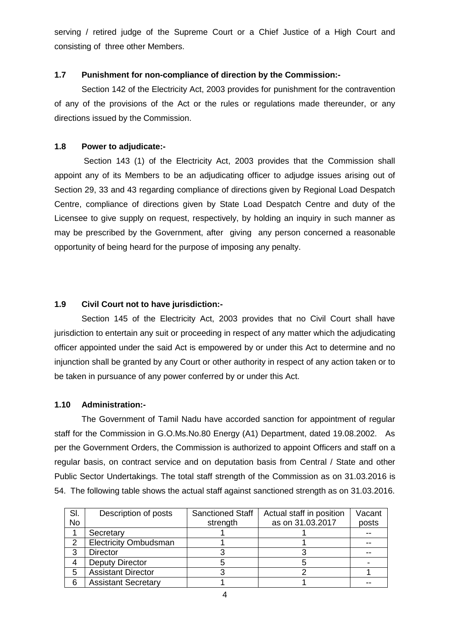serving / retired judge of the Supreme Court or a Chief Justice of a High Court and consisting of three other Members.

# **1.7 Punishment for non-compliance of direction by the Commission:-**

Section 142 of the Electricity Act, 2003 provides for punishment for the contravention of any of the provisions of the Act or the rules or regulations made thereunder, or any directions issued by the Commission.

# **1.8 Power to adjudicate:-**

Section 143 (1) of the Electricity Act, 2003 provides that the Commission shall appoint any of its Members to be an adjudicating officer to adjudge issues arising out of Section 29, 33 and 43 regarding compliance of directions given by Regional Load Despatch Centre, compliance of directions given by State Load Despatch Centre and duty of the Licensee to give supply on request, respectively, by holding an inquiry in such manner as may be prescribed by the Government, after giving any person concerned a reasonable opportunity of being heard for the purpose of imposing any penalty.

# **1.9 Civil Court not to have jurisdiction:-**

Section 145 of the Electricity Act, 2003 provides that no Civil Court shall have jurisdiction to entertain any suit or proceeding in respect of any matter which the adjudicating officer appointed under the said Act is empowered by or under this Act to determine and no injunction shall be granted by any Court or other authority in respect of any action taken or to be taken in pursuance of any power conferred by or under this Act.

# **1.10 Administration:-**

The Government of Tamil Nadu have accorded sanction for appointment of regular staff for the Commission in G.O.Ms.No.80 Energy (A1) Department, dated 19.08.2002. As per the Government Orders, the Commission is authorized to appoint Officers and staff on a regular basis, on contract service and on deputation basis from Central / State and other Public Sector Undertakings. The total staff strength of the Commission as on 31.03.2016 is 54. The following table shows the actual staff against sanctioned strength as on 31.03.2016.

| SI.       | Description of posts         | <b>Sanctioned Staff</b> | Actual staff in position | Vacant |
|-----------|------------------------------|-------------------------|--------------------------|--------|
| <b>No</b> |                              | strength                | as on 31.03.2017         | posts  |
|           | Secretary                    |                         |                          |        |
| っ         | <b>Electricity Ombudsman</b> |                         |                          |        |
| 3         | <b>Director</b>              |                         |                          |        |
|           | <b>Deputy Director</b>       |                         |                          |        |
| 5         | <b>Assistant Director</b>    |                         |                          |        |
| 6         | <b>Assistant Secretary</b>   |                         |                          |        |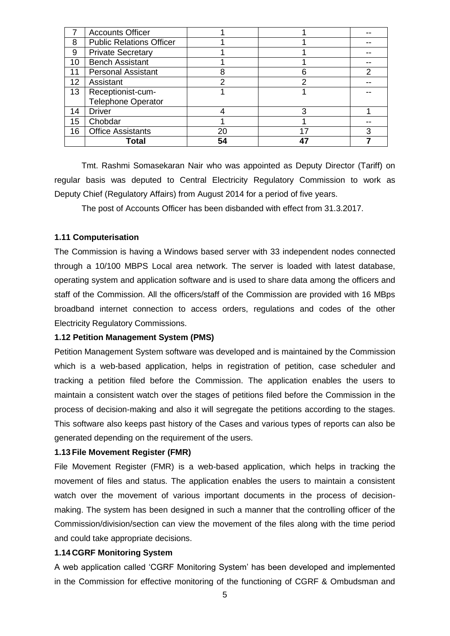|                 | <b>Accounts Officer</b>         |    |    |   |
|-----------------|---------------------------------|----|----|---|
| 8               | <b>Public Relations Officer</b> |    |    |   |
| 9               | <b>Private Secretary</b>        |    |    |   |
| 10 <sup>1</sup> | <b>Bench Assistant</b>          |    |    |   |
| 11              | <b>Personal Assistant</b>       | 8  |    | 2 |
| 12 <sup>2</sup> | Assistant                       | っ  |    |   |
| 13              | Receptionist-cum-               |    |    |   |
|                 | <b>Telephone Operator</b>       |    |    |   |
| 14              | <b>Driver</b>                   |    |    |   |
| 15              | Chobdar                         |    |    |   |
| 16              | <b>Office Assistants</b>        | 20 | 17 | 3 |
|                 | Total                           | 54 |    |   |

Tmt. Rashmi Somasekaran Nair who was appointed as Deputy Director (Tariff) on regular basis was deputed to Central Electricity Regulatory Commission to work as Deputy Chief (Regulatory Affairs) from August 2014 for a period of five years.

The post of Accounts Officer has been disbanded with effect from 31.3.2017.

#### **1.11 Computerisation**

The Commission is having a Windows based server with 33 independent nodes connected through a 10/100 MBPS Local area network. The server is loaded with latest database, operating system and application software and is used to share data among the officers and staff of the Commission. All the officers/staff of the Commission are provided with 16 MBps broadband internet connection to access orders, regulations and codes of the other Electricity Regulatory Commissions.

#### **1.12 Petition Management System (PMS)**

Petition Management System software was developed and is maintained by the Commission which is a web-based application, helps in registration of petition, case scheduler and tracking a petition filed before the Commission. The application enables the users to maintain a consistent watch over the stages of petitions filed before the Commission in the process of decision-making and also it will segregate the petitions according to the stages. This software also keeps past history of the Cases and various types of reports can also be generated depending on the requirement of the users.

#### **1.13 File Movement Register (FMR)**

File Movement Register (FMR) is a web-based application, which helps in tracking the movement of files and status. The application enables the users to maintain a consistent watch over the movement of various important documents in the process of decisionmaking. The system has been designed in such a manner that the controlling officer of the Commission/division/section can view the movement of the files along with the time period and could take appropriate decisions.

#### **1.14 CGRF Monitoring System**

A web application called 'CGRF Monitoring System' has been developed and implemented in the Commission for effective monitoring of the functioning of CGRF & Ombudsman and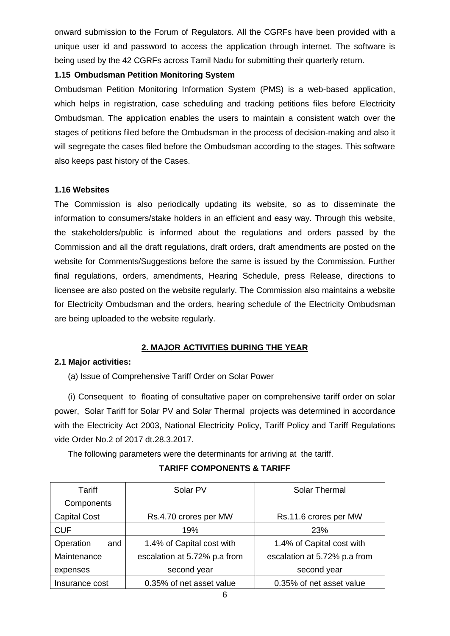onward submission to the Forum of Regulators. All the CGRFs have been provided with a unique user id and password to access the application through internet. The software is being used by the 42 CGRFs across Tamil Nadu for submitting their quarterly return.

# **1.15 Ombudsman Petition Monitoring System**

Ombudsman Petition Monitoring Information System (PMS) is a web-based application, which helps in registration, case scheduling and tracking petitions files before Electricity Ombudsman. The application enables the users to maintain a consistent watch over the stages of petitions filed before the Ombudsman in the process of decision-making and also it will segregate the cases filed before the Ombudsman according to the stages. This software also keeps past history of the Cases.

# **1.16 Websites**

The Commission is also periodically updating its website, so as to disseminate the information to consumers/stake holders in an efficient and easy way. Through this website, the stakeholders/public is informed about the regulations and orders passed by the Commission and all the draft regulations, draft orders, draft amendments are posted on the website for Comments/Suggestions before the same is issued by the Commission. Further final regulations, orders, amendments, Hearing Schedule, press Release, directions to licensee are also posted on the website regularly. The Commission also maintains a website for Electricity Ombudsman and the orders, hearing schedule of the Electricity Ombudsman are being uploaded to the website regularly.

# **2. MAJOR ACTIVITIES DURING THE YEAR**

### **2.1 Major activities:**

(a) Issue of Comprehensive Tariff Order on Solar Power

(i) Consequent to floating of consultative paper on comprehensive tariff order on solar power, Solar Tariff for Solar PV and Solar Thermal projects was determined in accordance with the Electricity Act 2003, National Electricity Policy, Tariff Policy and Tariff Regulations vide Order No.2 of 2017 dt.28.3.2017.

The following parameters were the determinants for arriving at the tariff.

| Tariff              | Solar PV                     | Solar Thermal                |
|---------------------|------------------------------|------------------------------|
| Components          |                              |                              |
| <b>Capital Cost</b> | Rs.4.70 crores per MW        | Rs.11.6 crores per MW        |
| <b>CUF</b>          | 19%                          | 23%                          |
| Operation<br>and    | 1.4% of Capital cost with    | 1.4% of Capital cost with    |
| Maintenance         | escalation at 5.72% p.a from | escalation at 5.72% p.a from |
| expenses            | second year                  | second year                  |
| Insurance cost      | 0.35% of net asset value     | 0.35% of net asset value     |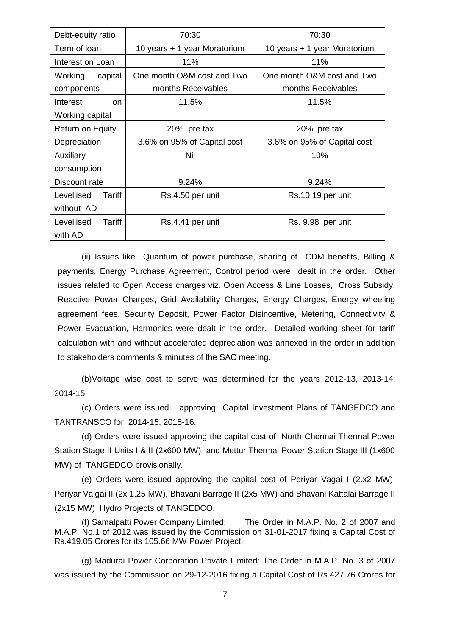| Debt-equity ratio       | 70:30                        | 70:30                        |
|-------------------------|------------------------------|------------------------------|
| Term of loan            | 10 years + 1 year Moratorium | 10 years + 1 year Moratorium |
| Interest on Loan        | 11%                          | 11%                          |
| Working<br>capital      | One month O&M cost and Two   | One month O&M cost and Two   |
| components              | months Receivables           | months Receivables           |
| Interest<br>on.         | 11.5%                        | 11.5%                        |
| Working capital         |                              |                              |
| <b>Return on Equity</b> | 20% pre tax                  | 20% pre tax                  |
| Depreciation            | 3.6% on 95% of Capital cost  | 3.6% on 95% of Capital cost  |
| Auxiliary               | Nil                          | 10%                          |
| consumption             |                              |                              |
| Discount rate           | 9.24%                        | 9.24%                        |
| Levellised<br>Tariff    | Rs.4.50 per unit             | Rs.10.19 per unit            |
| without AD              |                              |                              |
| Levellised<br>Tariff    | Rs.4.41 per unit             | Rs. 9.98 per unit            |
| with AD                 |                              |                              |

(ii) Issues like Quantum of power purchase, sharing of CDM benefits, Billing & payments, Energy Purchase Agreement, Control period were dealt in the order. Other issues related to Open Access charges viz. Open Access & Line Losses, Cross Subsidy, Reactive Power Charges, Grid Availability Charges, Energy Charges, Energy wheeling agreement fees, Security Deposit, Power Factor Disincentive, Metering, Connectivity & Power Evacuation, Harmonics were dealt in the order. Detailed working sheet for tariff calculation with and without accelerated depreciation was annexed in the order in addition to stakeholders comments & minutes of the SAC meeting.

(b)Voltage wise cost to serve was determined for the years 2012-13, 2013-14, 2014-15.

(c) Orders were issued approving Capital Investment Plans of TANGEDCO and TANTRANSCO for 2014-15, 2015-16.

(d) Orders were issued approving the capital cost of North Chennai Thermal Power Station Stage II Units I & II (2x600 MW) and Mettur Thermal Power Station Stage III (1x600 MW) of TANGEDCO provisionally.

(e) Orders were issued approving the capital cost of Periyar Vagai I (2.x2 MW), Periyar Vaigai II (2x 1.25 MW), Bhavani Barrage II (2x5 MW) and Bhavani Kattalai Barrage II (2x15 MW) Hydro Projects of TANGEDCO.

(f) Samalpatti Power Company Limited: The Order in M.A.P. No. 2 of 2007 and M.A.P. No.1 of 2012 was issued by the Commission on 31-01-2017 fixing a Capital Cost of Rs.419.05 Crores for its 105.66 MW Power Project.

(g) Madurai Power Corporation Private Limited: The Order in M.A.P. No. 3 of 2007 was issued by the Commission on 29-12-2016 fixing a Capital Cost of Rs.427.76 Crores for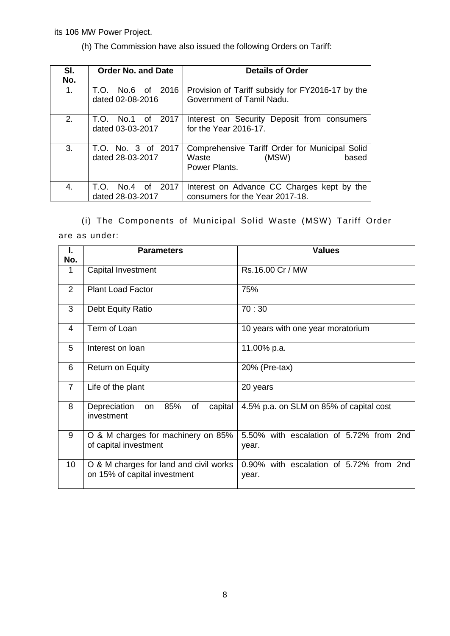its 106 MW Power Project.

(h) The Commission have also issued the following Orders on Tariff:

| SI.<br>No. | <b>Order No. and Date</b>                | <b>Details of Order</b>                                                                    |
|------------|------------------------------------------|--------------------------------------------------------------------------------------------|
| 1.         | No.6 of 2016<br>T.O.<br>dated 02-08-2016 | Provision of Tariff subsidy for FY2016-17 by the<br>Government of Tamil Nadu.              |
| 2.         | No.1 of 2017<br>T.O.<br>dated 03-03-2017 | Interest on Security Deposit from consumers<br>for the Year 2016-17.                       |
| 3.         | T.O. No. 3 of 2017<br>dated 28-03-2017   | Comprehensive Tariff Order for Municipal Solid<br>(MSW)<br>based<br>Waste<br>Power Plants. |
| 4.         | No.4 of 2017<br>T.O.<br>dated 28-03-2017 | Interest on Advance CC Charges kept by the<br>consumers for the Year 2017-18.              |

(i) The Components of Municipal Solid Waste (MSW) Tariff Order are as under:

| I.<br>No.       | <b>Parameters</b>                                                      | <b>Values</b>                                    |
|-----------------|------------------------------------------------------------------------|--------------------------------------------------|
| 1               | Capital Investment                                                     | Rs.16.00 Cr / MW                                 |
| 2               | <b>Plant Load Factor</b>                                               | 75%                                              |
| 3               | Debt Equity Ratio                                                      | 70:30                                            |
| 4               | Term of Loan                                                           | 10 years with one year moratorium                |
| 5               | Interest on loan                                                       | 11.00% p.a.                                      |
| 6               | <b>Return on Equity</b>                                                | 20% (Pre-tax)                                    |
| $\overline{7}$  | Life of the plant                                                      | 20 years                                         |
| 8               | 85%<br>of<br>Depreciation<br>capital<br>on<br>investment               | 4.5% p.a. on SLM on 85% of capital cost          |
| 9               | O & M charges for machinery on 85%<br>of capital investment            | 5.50% with escalation of 5.72% from 2nd<br>year. |
| 10 <sup>°</sup> | O & M charges for land and civil works<br>on 15% of capital investment | 0.90% with escalation of 5.72% from 2nd<br>year. |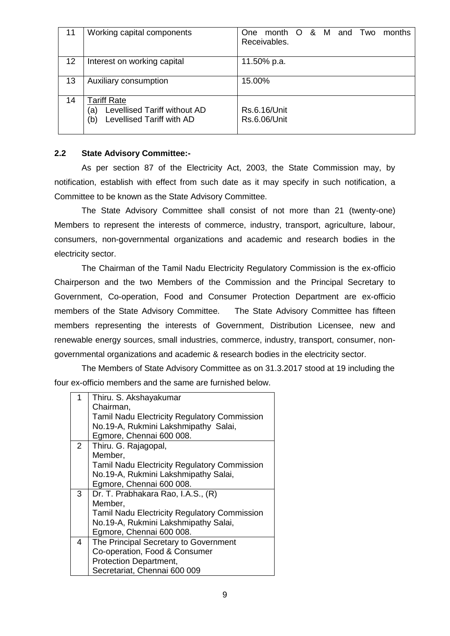| 11 | Working capital components                                                                    | month O & M<br>and Two<br>months<br>One<br>Receivables. |
|----|-----------------------------------------------------------------------------------------------|---------------------------------------------------------|
| 12 | Interest on working capital                                                                   | 11.50% p.a.                                             |
| 13 | Auxiliary consumption                                                                         | 15.00%                                                  |
| 14 | <b>Tariff Rate</b><br>Levellised Tariff without AD<br>้a)<br>(b)<br>Levellised Tariff with AD | Rs.6.16/Unit<br><b>Rs.6.06/Unit</b>                     |

### **2.2 State Advisory Committee:-**

As per section 87 of the Electricity Act, 2003, the State Commission may, by notification, establish with effect from such date as it may specify in such notification, a Committee to be known as the State Advisory Committee.

The State Advisory Committee shall consist of not more than 21 (twenty-one) Members to represent the interests of commerce, industry, transport, agriculture, labour, consumers, non-governmental organizations and academic and research bodies in the electricity sector.

The Chairman of the Tamil Nadu Electricity Regulatory Commission is the ex-officio Chairperson and the two Members of the Commission and the Principal Secretary to Government, Co-operation, Food and Consumer Protection Department are ex-officio members of the State Advisory Committee. The State Advisory Committee has fifteen members representing the interests of Government, Distribution Licensee, new and renewable energy sources, small industries, commerce, industry, transport, consumer, nongovernmental organizations and academic & research bodies in the electricity sector.

The Members of State Advisory Committee as on 31.3.2017 stood at 19 including the four ex-officio members and the same are furnished below.

| 1              | Thiru. S. Akshayakumar                              |
|----------------|-----------------------------------------------------|
|                | Chairman,                                           |
|                | <b>Tamil Nadu Electricity Regulatory Commission</b> |
|                | No.19-A, Rukmini Lakshmipathy Salai,                |
|                | Egmore, Chennai 600 008.                            |
| $\overline{2}$ | Thiru. G. Rajagopal,                                |
|                | Member,                                             |
|                | <b>Tamil Nadu Electricity Regulatory Commission</b> |
|                | No.19-A, Rukmini Lakshmipathy Salai,                |
|                | Egmore, Chennai 600 008.                            |
| 3              | Dr. T. Prabhakara Rao, I.A.S., (R)                  |
|                | Member,                                             |
|                | <b>Tamil Nadu Electricity Regulatory Commission</b> |
|                | No.19-A, Rukmini Lakshmipathy Salai,                |
|                | Egmore, Chennai 600 008.                            |
| 4              | The Principal Secretary to Government               |
|                | Co-operation, Food & Consumer                       |
|                | <b>Protection Department,</b>                       |
|                | Secretariat, Chennai 600 009                        |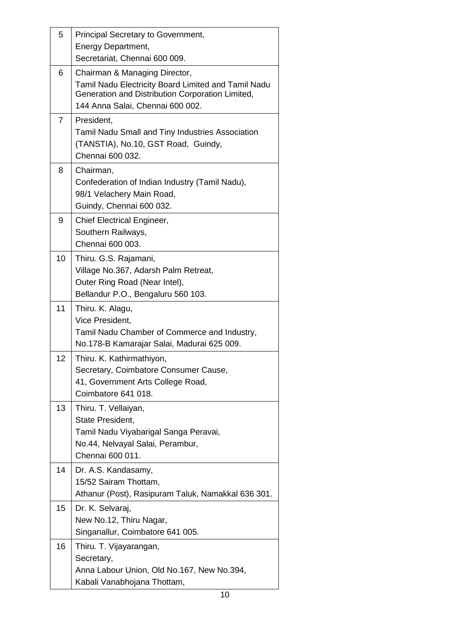| 5              | Principal Secretary to Government,                                                                                                                                           |
|----------------|------------------------------------------------------------------------------------------------------------------------------------------------------------------------------|
|                | Energy Department,                                                                                                                                                           |
|                | Secretariat, Chennai 600 009.                                                                                                                                                |
| 6              | Chairman & Managing Director,<br>Tamil Nadu Electricity Board Limited and Tamil Nadu<br>Generation and Distribution Corporation Limited,<br>144 Anna Salai, Chennai 600 002. |
| $\overline{7}$ | President,<br>Tamil Nadu Small and Tiny Industries Association<br>(TANSTIA), No.10, GST Road, Guindy,<br>Chennai 600 032.                                                    |
| 8              | Chairman,<br>Confederation of Indian Industry (Tamil Nadu),<br>98/1 Velachery Main Road,<br>Guindy, Chennai 600 032.                                                         |
| 9              | <b>Chief Electrical Engineer,</b><br>Southern Railways,<br>Chennai 600 003.                                                                                                  |
| 10             | Thiru. G.S. Rajamani,<br>Village No.367, Adarsh Palm Retreat,<br>Outer Ring Road (Near Intel),<br>Bellandur P.O., Bengaluru 560 103.                                         |
| 11             | Thiru. K. Alagu,<br>Vice President,<br>Tamil Nadu Chamber of Commerce and Industry,<br>No.178-B Kamarajar Salai, Madurai 625 009.                                            |
| 12             | Thiru. K. Kathirmathiyon,<br>Secretary, Coimbatore Consumer Cause,<br>41, Government Arts College Road,<br>Coimbatore 641 018.                                               |
| 13             | Thiru. T. Vellaiyan,<br>State President,<br>Tamil Nadu Viyabarigal Sanga Peravai,<br>No.44, Nelvayal Salai, Perambur,<br>Chennai 600 011.                                    |
| 14             | Dr. A.S. Kandasamy,<br>15/52 Sairam Thottam,<br>Athanur (Post), Rasipuram Taluk, Namakkal 636 301.                                                                           |
| 15             | Dr. K. Selvaraj,<br>New No.12, Thiru Nagar,<br>Singanallur, Coimbatore 641 005.                                                                                              |
| 16             | Thiru. T. Vijayarangan,<br>Secretary,<br>Anna Labour Union, Old No.167, New No.394,<br>Kabali Vanabhojana Thottam,                                                           |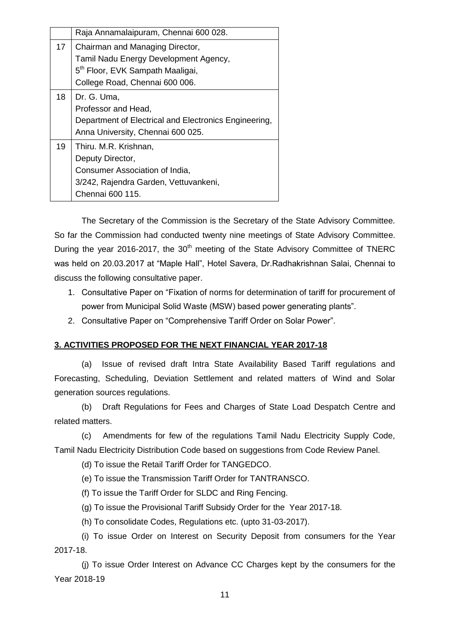|    | Raja Annamalaipuram, Chennai 600 028.                                                                                                                      |
|----|------------------------------------------------------------------------------------------------------------------------------------------------------------|
| 17 | Chairman and Managing Director,<br>Tamil Nadu Energy Development Agency,<br>5 <sup>th</sup> Floor, EVK Sampath Maaligai,<br>College Road, Chennai 600 006. |
| 18 | Dr. G. Uma,<br>Professor and Head,<br>Department of Electrical and Electronics Engineering,<br>Anna University, Chennai 600 025.                           |
| 19 | Thiru. M.R. Krishnan,<br>Deputy Director,<br>Consumer Association of India,<br>3/242, Rajendra Garden, Vettuvankeni,<br>Chennai 600 115.                   |

The Secretary of the Commission is the Secretary of the State Advisory Committee. So far the Commission had conducted twenty nine meetings of State Advisory Committee. During the year 2016-2017, the  $30<sup>th</sup>$  meeting of the State Advisory Committee of TNERC was held on 20.03.2017 at "Maple Hall", Hotel Savera, Dr.Radhakrishnan Salai, Chennai to discuss the following consultative paper.

- 1. Consultative Paper on "Fixation of norms for determination of tariff for procurement of power from Municipal Solid Waste (MSW) based power generating plants".
- 2. Consultative Paper on "Comprehensive Tariff Order on Solar Power".

### **3. ACTIVITIES PROPOSED FOR THE NEXT FINANCIAL YEAR 2017-18**

(a) Issue of revised draft Intra State Availability Based Tariff regulations and Forecasting, Scheduling, Deviation Settlement and related matters of Wind and Solar generation sources regulations.

(b) Draft Regulations for Fees and Charges of State Load Despatch Centre and related matters.

(c) Amendments for few of the regulations Tamil Nadu Electricity Supply Code, Tamil Nadu Electricity Distribution Code based on suggestions from Code Review Panel.

(d) To issue the Retail Tariff Order for TANGEDCO.

(e) To issue the Transmission Tariff Order for TANTRANSCO.

(f) To issue the Tariff Order for SLDC and Ring Fencing.

(g) To issue the Provisional Tariff Subsidy Order for the Year 2017-18.

(h) To consolidate Codes, Regulations etc. (upto 31-03-2017).

(i) To issue Order on [Interest on Security Deposit from consumers for](http://tnerc.tn.nic.in/orders/Tariff%20Order%202009/2016/Security%20Deposit%202015-16-05-02-2016.pdf) the Year [2017-18](http://tnerc.tn.nic.in/orders/Tariff%20Order%202009/2016/Security%20Deposit%202015-16-05-02-2016.pdf).

(j) To issue Order Interest on Advance CC Charges kept by the consumers for the Year 2018-19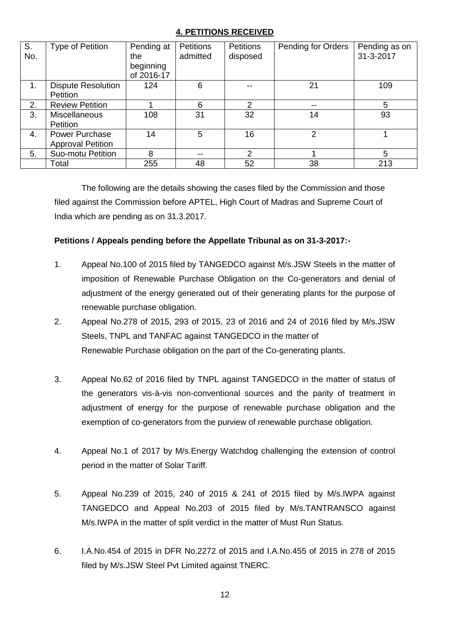# **4. PETITIONS RECEIVED**

| S.  | Type of Petition          | Pending at | <b>Petitions</b> | <b>Petitions</b> | Pending for Orders | Pending as on |
|-----|---------------------------|------------|------------------|------------------|--------------------|---------------|
| No. |                           | the        | admitted         | disposed         |                    | 31-3-2017     |
|     |                           | beginning  |                  |                  |                    |               |
|     |                           | of 2016-17 |                  |                  |                    |               |
| 1.  | <b>Dispute Resolution</b> | 124        | 6                |                  | 21                 | 109           |
|     | Petition                  |            |                  |                  |                    |               |
| 2.  | <b>Review Petition</b>    |            | 6                | 2                | $- -$              | 5             |
| 3.  | <b>Miscellaneous</b>      | 108        | 31               | 32               | 14                 | 93            |
|     | Petition                  |            |                  |                  |                    |               |
| 4.  | Power Purchase            | 14         | 5                | 16               | 2                  |               |
|     | <b>Approval Petition</b>  |            |                  |                  |                    |               |
| 5.  | Suo-motu Petition         | 8          |                  | 2                |                    | 5             |
|     | Total                     | 255        | 48               | 52               | 38                 | 213           |

The following are the details showing the cases filed by the Commission and those filed against the Commission before APTEL, High Court of Madras and Supreme Court of India which are pending as on 31.3.2017.

# **Petitions / Appeals pending before the Appellate Tribunal as on 31-3-2017:-**

- 1. Appeal No.100 of 2015 filed by TANGEDCO against M/s.JSW Steels in the matter of imposition of Renewable Purchase Obligation on the Co-generators and denial of adjustment of the energy generated out of their generating plants for the purpose of renewable purchase obligation.
- 2. Appeal No.278 of 2015, 293 of 2015, 23 of 2016 and 24 of 2016 filed by M/s.JSW Steels, TNPL and TANFAC against TANGEDCO in the matter of Renewable Purchase obligation on the part of the Co-generating plants.
- 3. Appeal No.62 of 2016 filed by TNPL against TANGEDCO in the matter of status of the generators vis-à-vis non-conventional sources and the parity of treatment in adjustment of energy for the purpose of renewable purchase obligation and the exemption of co-generators from the purview of renewable purchase obligation.
- 4. Appeal No.1 of 2017 by M/s.Energy Watchdog challenging the extension of control period in the matter of Solar Tariff.
- 5. Appeal No.239 of 2015, 240 of 2015 & 241 of 2015 filed by M/s.IWPA against TANGEDCO and Appeal No.203 of 2015 filed by M/s.TANTRANSCO against M/s.IWPA in the matter of split verdict in the matter of Must Run Status.
- 6. I.A.No.454 of 2015 in DFR No.2272 of 2015 and I.A.No.455 of 2015 in 278 of 2015 filed by M/s.JSW Steel Pvt Limited against TNERC.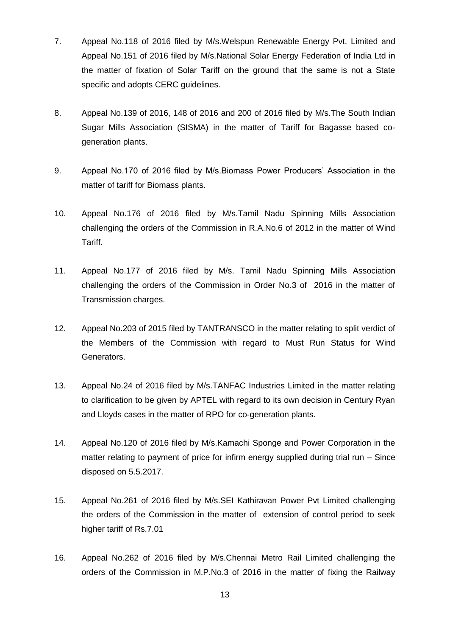- 7. Appeal No.118 of 2016 filed by M/s.Welspun Renewable Energy Pvt. Limited and Appeal No.151 of 2016 filed by M/s.National Solar Energy Federation of India Ltd in the matter of fixation of Solar Tariff on the ground that the same is not a State specific and adopts CERC guidelines.
- 8. Appeal No.139 of 2016, 148 of 2016 and 200 of 2016 filed by M/s.The South Indian Sugar Mills Association (SISMA) in the matter of Tariff for Bagasse based cogeneration plants.
- 9. Appeal No.170 of 2016 filed by M/s.Biomass Power Producers' Association in the matter of tariff for Biomass plants.
- 10. Appeal No.176 of 2016 filed by M/s.Tamil Nadu Spinning Mills Association challenging the orders of the Commission in R.A.No.6 of 2012 in the matter of Wind Tariff.
- 11. Appeal No.177 of 2016 filed by M/s. Tamil Nadu Spinning Mills Association challenging the orders of the Commission in Order No.3 of 2016 in the matter of Transmission charges.
- 12. Appeal No.203 of 2015 filed by TANTRANSCO in the matter relating to split verdict of the Members of the Commission with regard to Must Run Status for Wind Generators.
- 13. Appeal No.24 of 2016 filed by M/s.TANFAC Industries Limited in the matter relating to clarification to be given by APTEL with regard to its own decision in Century Ryan and Lloyds cases in the matter of RPO for co-generation plants.
- 14. Appeal No.120 of 2016 filed by M/s.Kamachi Sponge and Power Corporation in the matter relating to payment of price for infirm energy supplied during trial run – Since disposed on 5.5.2017.
- 15. Appeal No.261 of 2016 filed by M/s.SEI Kathiravan Power Pvt Limited challenging the orders of the Commission in the matter of extension of control period to seek higher tariff of Rs.7.01
- 16. Appeal No.262 of 2016 filed by M/s.Chennai Metro Rail Limited challenging the orders of the Commission in M.P.No.3 of 2016 in the matter of fixing the Railway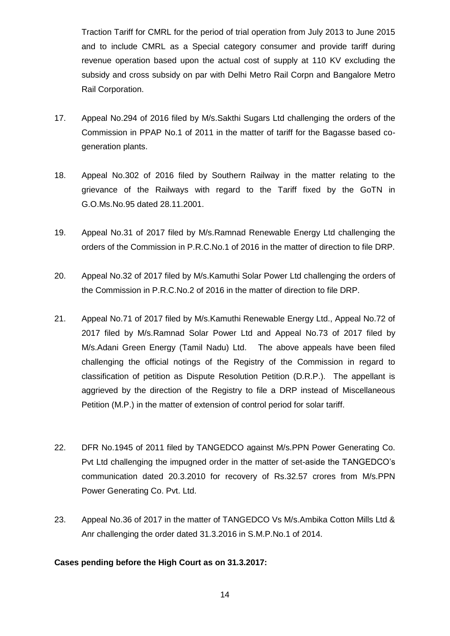Traction Tariff for CMRL for the period of trial operation from July 2013 to June 2015 and to include CMRL as a Special category consumer and provide tariff during revenue operation based upon the actual cost of supply at 110 KV excluding the subsidy and cross subsidy on par with Delhi Metro Rail Corpn and Bangalore Metro Rail Corporation.

- 17. Appeal No.294 of 2016 filed by M/s.Sakthi Sugars Ltd challenging the orders of the Commission in PPAP No.1 of 2011 in the matter of tariff for the Bagasse based cogeneration plants.
- 18. Appeal No.302 of 2016 filed by Southern Railway in the matter relating to the grievance of the Railways with regard to the Tariff fixed by the GoTN in G.O.Ms.No.95 dated 28.11.2001.
- 19. Appeal No.31 of 2017 filed by M/s.Ramnad Renewable Energy Ltd challenging the orders of the Commission in P.R.C.No.1 of 2016 in the matter of direction to file DRP.
- 20. Appeal No.32 of 2017 filed by M/s.Kamuthi Solar Power Ltd challenging the orders of the Commission in P.R.C.No.2 of 2016 in the matter of direction to file DRP.
- 21. Appeal No.71 of 2017 filed by M/s.Kamuthi Renewable Energy Ltd., Appeal No.72 of 2017 filed by M/s.Ramnad Solar Power Ltd and Appeal No.73 of 2017 filed by M/s.Adani Green Energy (Tamil Nadu) Ltd. The above appeals have been filed challenging the official notings of the Registry of the Commission in regard to classification of petition as Dispute Resolution Petition (D.R.P.). The appellant is aggrieved by the direction of the Registry to file a DRP instead of Miscellaneous Petition (M.P.) in the matter of extension of control period for solar tariff.
- 22. DFR No.1945 of 2011 filed by TANGEDCO against M/s.PPN Power Generating Co. Pvt Ltd challenging the impugned order in the matter of set-aside the TANGEDCO's communication dated 20.3.2010 for recovery of Rs.32.57 crores from M/s.PPN Power Generating Co. Pvt. Ltd.
- 23. Appeal No.36 of 2017 in the matter of TANGEDCO Vs M/s.Ambika Cotton Mills Ltd & Anr challenging the order dated 31.3.2016 in S.M.P.No.1 of 2014.

# **Cases pending before the High Court as on 31.3.2017:**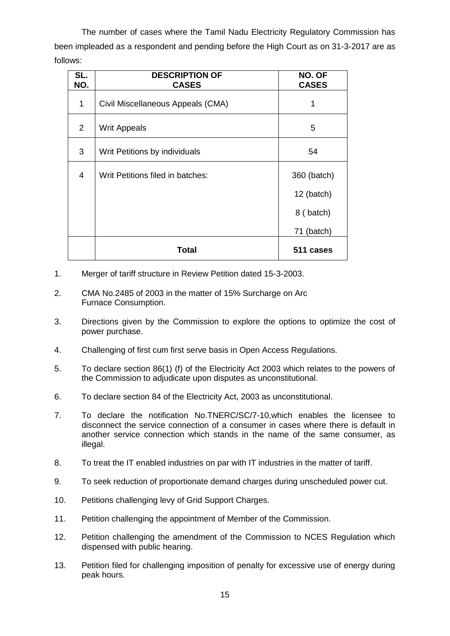The number of cases where the Tamil Nadu Electricity Regulatory Commission has been impleaded as a respondent and pending before the High Court as on 31-3-2017 are as follows:

| SL.<br>NO.     | <b>DESCRIPTION OF</b><br><b>CASES</b> | NO. OF<br><b>CASES</b> |
|----------------|---------------------------------------|------------------------|
| 1              | Civil Miscellaneous Appeals (CMA)     | 1                      |
| $\overline{2}$ | <b>Writ Appeals</b>                   | 5                      |
| 3              | Writ Petitions by individuals         | 54                     |
| 4              | Writ Petitions filed in batches:      | 360 (batch)            |
|                |                                       | 12 (batch)             |
|                |                                       | 8 (batch)              |
|                |                                       | 71 (batch)             |
|                | Total                                 | 511 cases              |

- 1. Merger of tariff structure in Review Petition dated 15-3-2003.
- 2. CMA No.2485 of 2003 in the matter of 15% Surcharge on Arc Furnace Consumption.
- 3. Directions given by the Commission to explore the options to optimize the cost of power purchase.
- 4. Challenging of first cum first serve basis in Open Access Regulations.
- 5. To declare section 86(1) (f) of the Electricity Act 2003 which relates to the powers of the Commission to adjudicate upon disputes as unconstitutional.
- 6. To declare section 84 of the Electricity Act, 2003 as unconstitutional.
- 7. To declare the notification No.TNERC/SC/7-10,which enables the licensee to disconnect the service connection of a consumer in cases where there is default in another service connection which stands in the name of the same consumer, as illegal.
- 8. To treat the IT enabled industries on par with IT industries in the matter of tariff.
- 9. To seek reduction of proportionate demand charges during unscheduled power cut.
- 10. Petitions challenging levy of Grid Support Charges.
- 11. Petition challenging the appointment of Member of the Commission.
- 12. Petition challenging the amendment of the Commission to NCES Regulation which dispensed with public hearing.
- 13. Petition filed for challenging imposition of penalty for excessive use of energy during peak hours.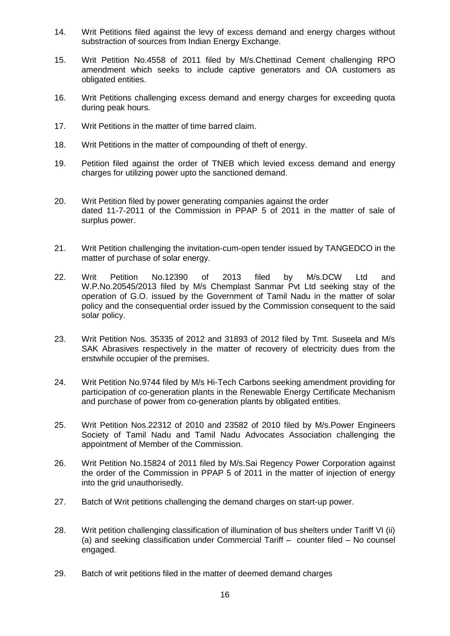- 14. Writ Petitions filed against the levy of excess demand and energy charges without substraction of sources from Indian Energy Exchange.
- 15. Writ Petition No.4558 of 2011 filed by M/s.Chettinad Cement challenging RPO amendment which seeks to include captive generators and OA customers as obligated entities.
- 16. Writ Petitions challenging excess demand and energy charges for exceeding quota during peak hours.
- 17. Writ Petitions in the matter of time barred claim.
- 18. Writ Petitions in the matter of compounding of theft of energy.
- 19. Petition filed against the order of TNEB which levied excess demand and energy charges for utilizing power upto the sanctioned demand.
- 20. Writ Petition filed by power generating companies against the order dated 11-7-2011 of the Commission in PPAP 5 of 2011 in the matter of sale of surplus power.
- 21. Writ Petition challenging the invitation-cum-open tender issued by TANGEDCO in the matter of purchase of solar energy.
- 22. Writ Petition No.12390 of 2013 filed by M/s.DCW Ltd and W.P.No.20545/2013 filed by M/s Chemplast Sanmar Pvt Ltd seeking stay of the operation of G.O. issued by the Government of Tamil Nadu in the matter of solar policy and the consequential order issued by the Commission consequent to the said solar policy.
- 23. Writ Petition Nos. 35335 of 2012 and 31893 of 2012 filed by Tmt. Suseela and M/s SAK Abrasives respectively in the matter of recovery of electricity dues from the erstwhile occupier of the premises.
- 24. Writ Petition No.9744 filed by M/s Hi-Tech Carbons seeking amendment providing for participation of co-generation plants in the Renewable Energy Certificate Mechanism and purchase of power from co-generation plants by obligated entities.
- 25. Writ Petition Nos.22312 of 2010 and 23582 of 2010 filed by M/s.Power Engineers Society of Tamil Nadu and Tamil Nadu Advocates Association challenging the appointment of Member of the Commission.
- 26. Writ Petition No.15824 of 2011 filed by M/s.Sai Regency Power Corporation against the order of the Commission in PPAP 5 of 2011 in the matter of injection of energy into the grid unauthorisedly.
- 27. Batch of Writ petitions challenging the demand charges on start-up power.
- 28. Writ petition challenging classification of illumination of bus shelters under Tariff VI (ii) (a) and seeking classification under Commercial Tariff – counter filed – No counsel engaged.
- 29. Batch of writ petitions filed in the matter of deemed demand charges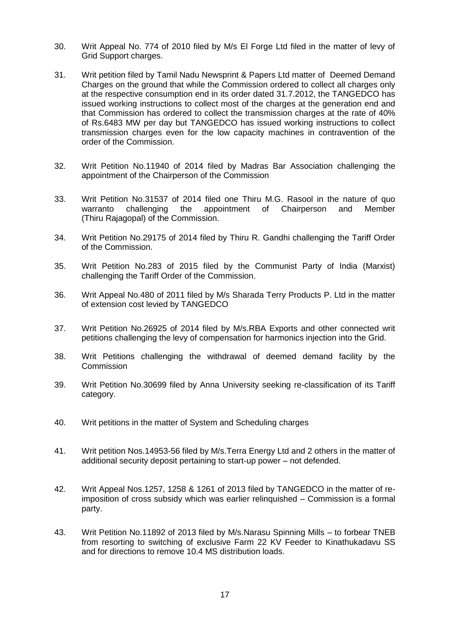- 30. Writ Appeal No. 774 of 2010 filed by M/s El Forge Ltd filed in the matter of levy of Grid Support charges.
- 31. Writ petition filed by Tamil Nadu Newsprint & Papers Ltd matter of Deemed Demand Charges on the ground that while the Commission ordered to collect all charges only at the respective consumption end in its order dated 31.7.2012, the TANGEDCO has issued working instructions to collect most of the charges at the generation end and that Commission has ordered to collect the transmission charges at the rate of 40% of Rs.6483 MW per day but TANGEDCO has issued working instructions to collect transmission charges even for the low capacity machines in contravention of the order of the Commission.
- 32. Writ Petition No.11940 of 2014 filed by Madras Bar Association challenging the appointment of the Chairperson of the Commission
- 33. Writ Petition No.31537 of 2014 filed one Thiru M.G. Rasool in the nature of quo warranto challenging the appointment of Chairperson and Member (Thiru Rajagopal) of the Commission.
- 34. Writ Petition No.29175 of 2014 filed by Thiru R. Gandhi challenging the Tariff Order of the Commission.
- 35. Writ Petition No.283 of 2015 filed by the Communist Party of India (Marxist) challenging the Tariff Order of the Commission.
- 36. Writ Appeal No.480 of 2011 filed by M/s Sharada Terry Products P. Ltd in the matter of extension cost levied by TANGEDCO
- 37. Writ Petition No.26925 of 2014 filed by M/s.RBA Exports and other connected writ petitions challenging the levy of compensation for harmonics injection into the Grid.
- 38. Writ Petitions challenging the withdrawal of deemed demand facility by the **Commission**
- 39. Writ Petition No.30699 filed by Anna University seeking re-classification of its Tariff category.
- 40. Writ petitions in the matter of System and Scheduling charges
- 41. Writ petition Nos.14953-56 filed by M/s.Terra Energy Ltd and 2 others in the matter of additional security deposit pertaining to start-up power – not defended.
- 42. Writ Appeal Nos.1257, 1258 & 1261 of 2013 filed by TANGEDCO in the matter of reimposition of cross subsidy which was earlier relinquished – Commission is a formal party.
- 43. Writ Petition No.11892 of 2013 filed by M/s.Narasu Spinning Mills to forbear TNEB from resorting to switching of exclusive Farm 22 KV Feeder to Kinathukadavu SS and for directions to remove 10.4 MS distribution loads.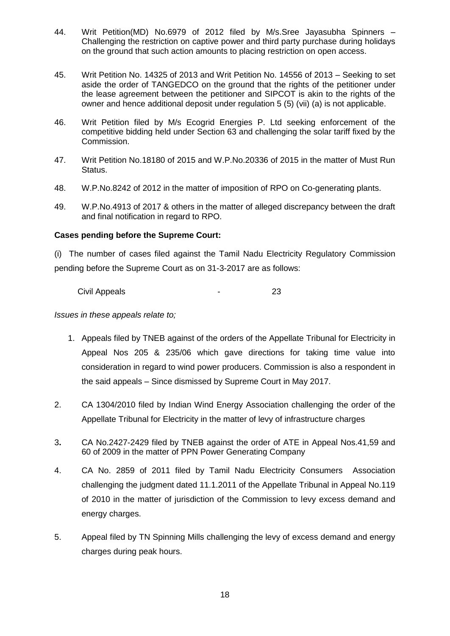- 44. Writ Petition(MD) No.6979 of 2012 filed by M/s.Sree Jayasubha Spinners Challenging the restriction on captive power and third party purchase during holidays on the ground that such action amounts to placing restriction on open access.
- 45. Writ Petition No. 14325 of 2013 and Writ Petition No. 14556 of 2013 Seeking to set aside the order of TANGEDCO on the ground that the rights of the petitioner under the lease agreement between the petitioner and SIPCOT is akin to the rights of the owner and hence additional deposit under regulation 5 (5) (vii) (a) is not applicable.
- 46. Writ Petition filed by M/s Ecogrid Energies P. Ltd seeking enforcement of the competitive bidding held under Section 63 and challenging the solar tariff fixed by the Commission.
- 47. Writ Petition No.18180 of 2015 and W.P.No.20336 of 2015 in the matter of Must Run Status.
- 48. W.P.No.8242 of 2012 in the matter of imposition of RPO on Co-generating plants.
- 49. W.P.No.4913 of 2017 & others in the matter of alleged discrepancy between the draft and final notification in regard to RPO.

# **Cases pending before the Supreme Court:**

(i) The number of cases filed against the Tamil Nadu Electricity Regulatory Commission pending before the Supreme Court as on 31-3-2017 are as follows:

Civil Appeals **23** 

*Issues in these appeals relate to;*

- 1. Appeals filed by TNEB against of the orders of the Appellate Tribunal for Electricity in Appeal Nos 205 & 235/06 which gave directions for taking time value into consideration in regard to wind power producers. Commission is also a respondent in the said appeals – Since dismissed by Supreme Court in May 2017.
- 2. CA 1304/2010 filed by Indian Wind Energy Association challenging the order of the Appellate Tribunal for Electricity in the matter of levy of infrastructure charges
- 3**.** CA No.2427-2429 filed by TNEB against the order of ATE in Appeal Nos.41,59 and 60 of 2009 in the matter of PPN Power Generating Company
- 4. CA No. 2859 of 2011 filed by Tamil Nadu Electricity Consumers Association challenging the judgment dated 11.1.2011 of the Appellate Tribunal in Appeal No.119 of 2010 in the matter of jurisdiction of the Commission to levy excess demand and energy charges.
- 5. Appeal filed by TN Spinning Mills challenging the levy of excess demand and energy charges during peak hours.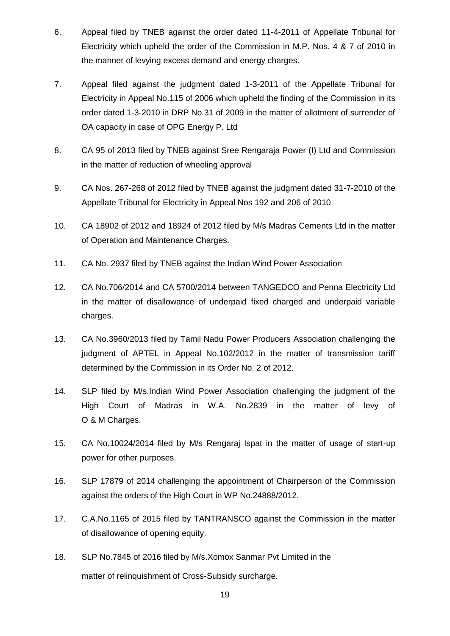- 6. Appeal filed by TNEB against the order dated 11-4-2011 of Appellate Tribunal for Electricity which upheld the order of the Commission in M.P. Nos. 4 & 7 of 2010 in the manner of levying excess demand and energy charges.
- 7. Appeal filed against the judgment dated 1-3-2011 of the Appellate Tribunal for Electricity in Appeal No.115 of 2006 which upheld the finding of the Commission in its order dated 1-3-2010 in DRP No.31 of 2009 in the matter of allotment of surrender of OA capacity in case of OPG Energy P. Ltd
- 8. CA 95 of 2013 filed by TNEB against Sree Rengaraja Power (I) Ltd and Commission in the matter of reduction of wheeling approval
- 9. CA Nos. 267-268 of 2012 filed by TNEB against the judgment dated 31-7-2010 of the Appellate Tribunal for Electricity in Appeal Nos 192 and 206 of 2010
- 10. CA 18902 of 2012 and 18924 of 2012 filed by M/s Madras Cements Ltd in the matter of Operation and Maintenance Charges.
- 11. CA No. 2937 filed by TNEB against the Indian Wind Power Association
- 12. CA No.706/2014 and CA 5700/2014 between TANGEDCO and Penna Electricity Ltd in the matter of disallowance of underpaid fixed charged and underpaid variable charges.
- 13. CA No.3960/2013 filed by Tamil Nadu Power Producers Association challenging the judgment of APTEL in Appeal No.102/2012 in the matter of transmission tariff determined by the Commission in its Order No. 2 of 2012.
- 14. SLP filed by M/s.Indian Wind Power Association challenging the judgment of the High Court of Madras in W.A. No.2839 in the matter of levy of O & M Charges.
- 15. CA No.10024/2014 filed by M/s Rengaraj Ispat in the matter of usage of start-up power for other purposes.
- 16. SLP 17879 of 2014 challenging the appointment of Chairperson of the Commission against the orders of the High Court in WP No.24888/2012.
- 17. C.A.No.1165 of 2015 filed by TANTRANSCO against the Commission in the matter of disallowance of opening equity.
- 18. SLP No.7845 of 2016 filed by M/s.Xomox Sanmar Pvt Limited in the matter of relinquishment of Cross-Subsidy surcharge.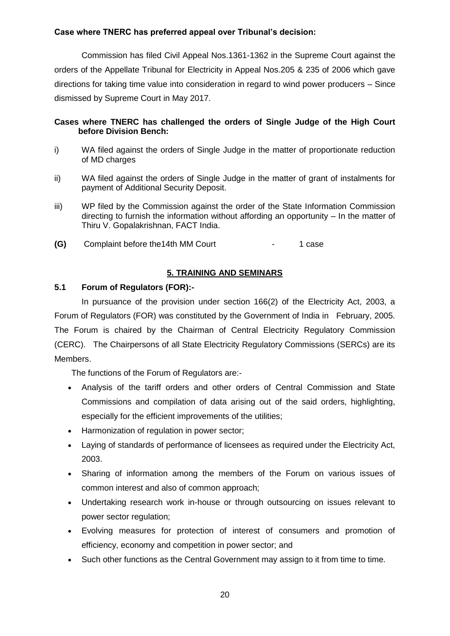# **Case where TNERC has preferred appeal over Tribunal's decision:**

Commission has filed Civil Appeal Nos.1361-1362 in the Supreme Court against the orders of the Appellate Tribunal for Electricity in Appeal Nos.205 & 235 of 2006 which gave directions for taking time value into consideration in regard to wind power producers – Since dismissed by Supreme Court in May 2017.

# **Cases where TNERC has challenged the orders of Single Judge of the High Court before Division Bench:**

- i) WA filed against the orders of Single Judge in the matter of proportionate reduction of MD charges
- ii) WA filed against the orders of Single Judge in the matter of grant of instalments for payment of Additional Security Deposit.
- iii) WP filed by the Commission against the order of the State Information Commission directing to furnish the information without affording an opportunity – In the matter of Thiru V. Gopalakrishnan, FACT India.
- **(G)** Complaint before the14th MM Court 1 case

# **5. TRAINING AND SEMINARS**

# **5.1 Forum of Regulators (FOR):-**

In pursuance of the provision under section 166(2) of the Electricity Act, 2003, a Forum of Regulators (FOR) was constituted by the Government of India in February, 2005. The Forum is chaired by the Chairman of Central Electricity Regulatory Commission (CERC). The Chairpersons of all State Electricity Regulatory Commissions (SERCs) are its Members.

The functions of the Forum of Regulators are:-

- Analysis of the tariff orders and other orders of Central Commission and State Commissions and compilation of data arising out of the said orders, highlighting, especially for the efficient improvements of the utilities;
- Harmonization of regulation in power sector;
- Laying of standards of performance of licensees as required under the Electricity Act, 2003.
- Sharing of information among the members of the Forum on various issues of common interest and also of common approach;
- Undertaking research work in-house or through outsourcing on issues relevant to power sector regulation;
- Evolving measures for protection of interest of consumers and promotion of efficiency, economy and competition in power sector; and
- Such other functions as the Central Government may assign to it from time to time.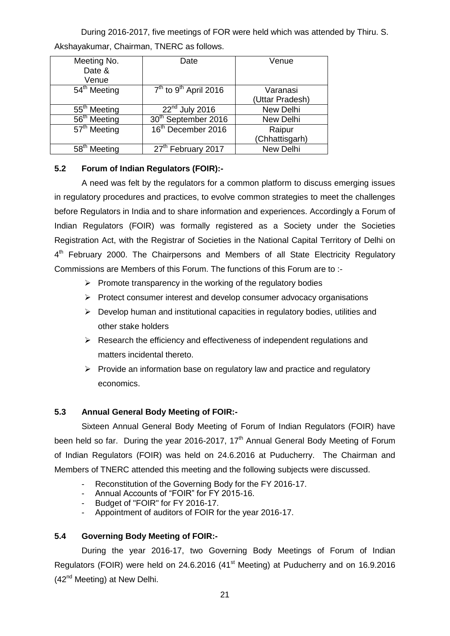During 2016-2017, five meetings of FOR were held which was attended by Thiru. S. Akshayakumar, Chairman, TNERC as follows.

| Meeting No.<br>Date &<br>Venue | Date                                | Venue                       |
|--------------------------------|-------------------------------------|-----------------------------|
| 54 <sup>th</sup> Meeting       | $7th$ to 9 <sup>th</sup> April 2016 | Varanasi<br>(Uttar Pradesh) |
| 55 <sup>th</sup> Meeting       | $22nd$ July 2016                    | New Delhi                   |
| 56 <sup>th</sup> Meeting       | 30 <sup>th</sup> September 2016     | New Delhi                   |
| $57th$ Meeting                 | 16 <sup>th</sup> December 2016      | Raipur                      |
|                                |                                     | (Chhattisgarh)              |
| 58 <sup>th</sup> Meeting       | 27 <sup>th</sup> February 2017      | New Delhi                   |

# **5.2 Forum of Indian Regulators (FOIR):-**

A need was felt by the regulators for a common platform to discuss emerging issues in regulatory procedures and practices, to evolve common strategies to meet the challenges before Regulators in India and to share information and experiences. Accordingly a Forum of Indian Regulators (FOIR) was formally registered as a Society under the Societies Registration Act, with the Registrar of Societies in the National Capital Territory of Delhi on 4<sup>th</sup> February 2000. The Chairpersons and Members of all State Electricity Regulatory Commissions are Members of this Forum. The functions of this Forum are to :-

- $\triangleright$  Promote transparency in the working of the regulatory bodies
- $\triangleright$  Protect consumer interest and develop consumer advocacy organisations
- $\triangleright$  Develop human and institutional capacities in regulatory bodies, utilities and other stake holders
- $\triangleright$  Research the efficiency and effectiveness of independent regulations and matters incidental thereto.
- $\triangleright$  Provide an information base on regulatory law and practice and regulatory economics.

# **5.3 Annual General Body Meeting of FOIR:-**

Sixteen Annual General Body Meeting of Forum of Indian Regulators (FOIR) have been held so far. During the year 2016-2017,  $17<sup>th</sup>$  Annual General Body Meeting of Forum of Indian Regulators (FOIR) was held on 24.6.2016 at Puducherry. The Chairman and Members of TNERC attended this meeting and the following subjects were discussed.

- Reconstitution of the Governing Body for the FY 2016-17.
- Annual Accounts of "FOIR" for FY 2015-16.
- Budget of "FOIR" for FY 2016-17.
- Appointment of auditors of FOIR for the year 2016-17.

# **5.4 Governing Body Meeting of FOIR:-**

During the year 2016-17, two Governing Body Meetings of Forum of Indian Regulators (FOIR) were held on 24.6.2016 (41st Meeting) at Puducherry and on 16.9.2016  $(42<sup>nd</sup> Meeting)$  at New Delhi.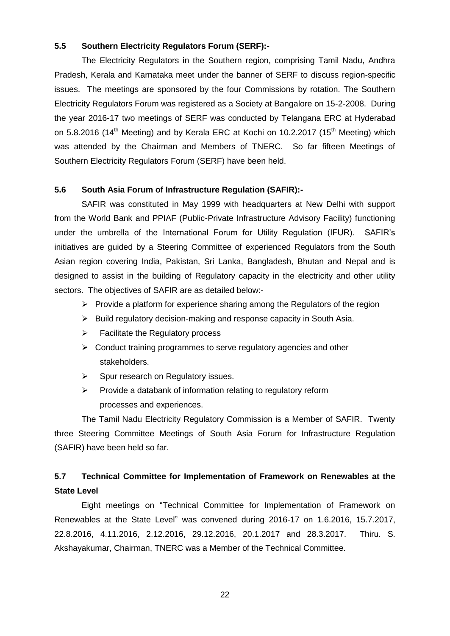#### **5.5 Southern Electricity Regulators Forum (SERF):-**

The Electricity Regulators in the Southern region, comprising Tamil Nadu, Andhra Pradesh, Kerala and Karnataka meet under the banner of SERF to discuss region-specific issues. The meetings are sponsored by the four Commissions by rotation. The Southern Electricity Regulators Forum was registered as a Society at Bangalore on 15-2-2008. During the year 2016-17 two meetings of SERF was conducted by Telangana ERC at Hyderabad on 5.8.2016 (14<sup>th</sup> Meeting) and by Kerala ERC at Kochi on 10.2.2017 (15<sup>th</sup> Meeting) which was attended by the Chairman and Members of TNERC. So far fifteen Meetings of Southern Electricity Regulators Forum (SERF) have been held.

#### **5.6 South Asia Forum of Infrastructure Regulation (SAFIR):-**

SAFIR was constituted in May 1999 with headquarters at New Delhi with support from the World Bank and PPIAF (Public-Private Infrastructure Advisory Facility) functioning under the umbrella of the International Forum for Utility Regulation (IFUR). SAFIR's initiatives are guided by a Steering Committee of experienced Regulators from the South Asian region covering India, Pakistan, Sri Lanka, Bangladesh, Bhutan and Nepal and is designed to assist in the building of Regulatory capacity in the electricity and other utility sectors. The objectives of SAFIR are as detailed below:-

- $\triangleright$  Provide a platform for experience sharing among the Regulators of the region
- $\triangleright$  Build regulatory decision-making and response capacity in South Asia.
- $\triangleright$  Facilitate the Regulatory process
- $\triangleright$  Conduct training programmes to serve regulatory agencies and other stakeholders.
- $\triangleright$  Spur research on Regulatory issues.
- $\triangleright$  Provide a databank of information relating to regulatory reform processes and experiences.

The Tamil Nadu Electricity Regulatory Commission is a Member of SAFIR. Twenty three Steering Committee Meetings of South Asia Forum for Infrastructure Regulation (SAFIR) have been held so far.

# **5.7 Technical Committee for Implementation of Framework on Renewables at the State Level**

Eight meetings on "Technical Committee for Implementation of Framework on Renewables at the State Level" was convened during 2016-17 on 1.6.2016, 15.7.2017, 22.8.2016, 4.11.2016, 2.12.2016, 29.12.2016, 20.1.2017 and 28.3.2017. Thiru. S. Akshayakumar, Chairman, TNERC was a Member of the Technical Committee.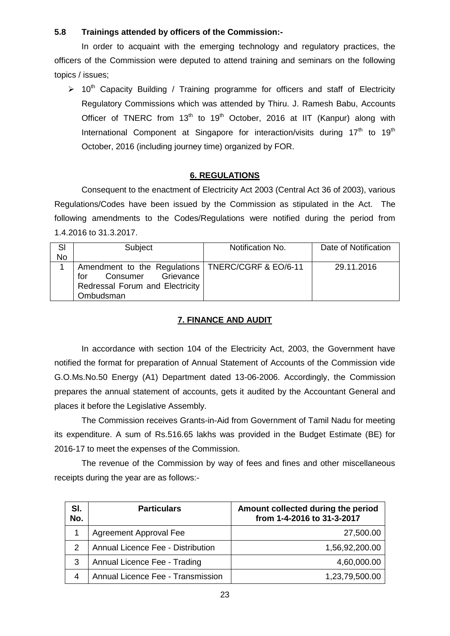# **5.8 Trainings attended by officers of the Commission:-**

In order to acquaint with the emerging technology and regulatory practices, the officers of the Commission were deputed to attend training and seminars on the following topics / issues;

 $> 10<sup>th</sup>$  Capacity Building / Training programme for officers and staff of Electricity Regulatory Commissions which was attended by Thiru. J. Ramesh Babu, Accounts Officer of TNERC from  $13<sup>th</sup>$  to  $19<sup>th</sup>$  October, 2016 at IIT (Kanpur) along with International Component at Singapore for interaction/visits during  $17<sup>th</sup>$  to  $19<sup>th</sup>$ October, 2016 (including journey time) organized by FOR.

# **6. REGULATIONS**

Consequent to the enactment of Electricity Act 2003 (Central Act 36 of 2003), various Regulations/Codes have been issued by the Commission as stipulated in the Act. The following amendments to the Codes/Regulations were notified during the period from 1.4.2016 to 31.3.2017.

| SI        | Subject                                                                                                                             | Notification No. | Date of Notification |
|-----------|-------------------------------------------------------------------------------------------------------------------------------------|------------------|----------------------|
| <b>No</b> |                                                                                                                                     |                  |                      |
|           | Amendment to the Regulations   TNERC/CGRF & EO/6-11<br>Consumer<br>Grievance<br>for<br>Redressal Forum and Electricity<br>Ombudsman |                  | 29.11.2016           |

# **7. FINANCE AND AUDIT**

In accordance with section 104 of the Electricity Act, 2003, the Government have notified the format for preparation of Annual Statement of Accounts of the Commission vide G.O.Ms.No.50 Energy (A1) Department dated 13-06-2006. Accordingly, the Commission prepares the annual statement of accounts, gets it audited by the Accountant General and places it before the Legislative Assembly.

The Commission receives Grants-in-Aid from Government of Tamil Nadu for meeting its expenditure. A sum of Rs.516.65 lakhs was provided in the Budget Estimate (BE) for 2016-17 to meet the expenses of the Commission.

The revenue of the Commission by way of fees and fines and other miscellaneous receipts during the year are as follows:-

| SI.<br>No. | <b>Particulars</b>                | Amount collected during the period<br>from 1-4-2016 to 31-3-2017 |
|------------|-----------------------------------|------------------------------------------------------------------|
|            | Agreement Approval Fee            | 27,500.00                                                        |
| 2          | Annual Licence Fee - Distribution | 1,56,92,200.00                                                   |
| 3          | Annual Licence Fee - Trading      | 4,60,000.00                                                      |
|            | Annual Licence Fee - Transmission | 1,23,79,500.00                                                   |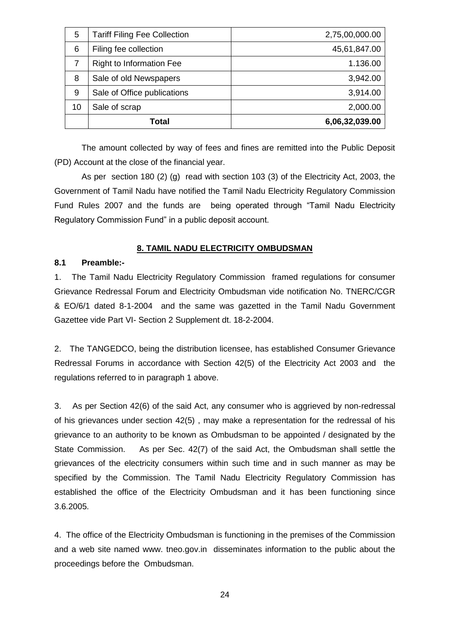| 5  | <b>Tariff Filing Fee Collection</b> | 2,75,00,000.00 |
|----|-------------------------------------|----------------|
| 6  | Filing fee collection               | 45,61,847.00   |
| 7  | <b>Right to Information Fee</b>     | 1.136.00       |
| 8  | Sale of old Newspapers              | 3,942.00       |
| 9  | Sale of Office publications         | 3,914.00       |
| 10 | Sale of scrap                       | 2,000.00       |
|    | Total                               | 6,06,32,039.00 |

The amount collected by way of fees and fines are remitted into the Public Deposit (PD) Account at the close of the financial year.

As per section 180 (2) (g) read with section 103 (3) of the Electricity Act, 2003, the Government of Tamil Nadu have notified the Tamil Nadu Electricity Regulatory Commission Fund Rules 2007 and the funds are being operated through "Tamil Nadu Electricity Regulatory Commission Fund" in a public deposit account.

# **8. TAMIL NADU ELECTRICITY OMBUDSMAN**

# **8.1 Preamble:-**

1. The Tamil Nadu Electricity Regulatory Commission framed regulations for consumer Grievance Redressal Forum and Electricity Ombudsman vide notification No. TNERC/CGR & EO/6/1 dated 8-1-2004 and the same was gazetted in the Tamil Nadu Government Gazettee vide Part VI- Section 2 Supplement dt. 18-2-2004.

2. The TANGEDCO, being the distribution licensee, has established Consumer Grievance Redressal Forums in accordance with Section 42(5) of the Electricity Act 2003 and the regulations referred to in paragraph 1 above.

3. As per Section 42(6) of the said Act, any consumer who is aggrieved by non-redressal of his grievances under section 42(5) , may make a representation for the redressal of his grievance to an authority to be known as Ombudsman to be appointed / designated by the State Commission. As per Sec. 42(7) of the said Act, the Ombudsman shall settle the grievances of the electricity consumers within such time and in such manner as may be specified by the Commission. The Tamil Nadu Electricity Regulatory Commission has established the office of the Electricity Ombudsman and it has been functioning since 3.6.2005.

4. The office of the Electricity Ombudsman is functioning in the premises of the Commission and a web site named www. tneo.gov.in disseminates information to the public about the proceedings before the Ombudsman.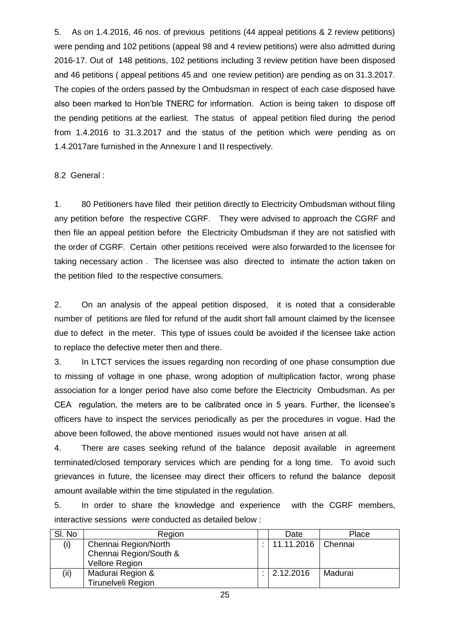5. As on 1.4.2016, 46 nos. of previous petitions (44 appeal petitions & 2 review petitions) were pending and 102 petitions (appeal 98 and 4 review petitions) were also admitted during 2016-17. Out of 148 petitions, 102 petitions including 3 review petition have been disposed and 46 petitions ( appeal petitions 45 and one review petition) are pending as on 31.3.2017. The copies of the orders passed by the Ombudsman in respect of each case disposed have also been marked to Hon'ble TNERC for information. Action is being taken to dispose off the pending petitions at the earliest. The status of appeal petition filed during the period from 1.4.2016 to 31.3.2017 and the status of the petition which were pending as on 1.4.2017are furnished in the Annexure I and II respectively.

### 8.2 General :

1. 80 Petitioners have filed their petition directly to Electricity Ombudsman without filing any petition before the respective CGRF. They were advised to approach the CGRF and then file an appeal petition before the Electricity Ombudsman if they are not satisfied with the order of CGRF. Certain other petitions received were also forwarded to the licensee for taking necessary action . The licensee was also directed to intimate the action taken on the petition filed to the respective consumers.

2. On an analysis of the appeal petition disposed, it is noted that a considerable number of petitions are filed for refund of the audit short fall amount claimed by the licensee due to defect in the meter. This type of issues could be avoided if the licensee take action to replace the defective meter then and there.

3. In LTCT services the issues regarding non recording of one phase consumption due to missing of voltage in one phase, wrong adoption of multiplication factor, wrong phase association for a longer period have also come before the Electricity Ombudsman. As per CEA regulation, the meters are to be calibrated once in 5 years. Further, the licensee's officers have to inspect the services periodically as per the procedures in vogue. Had the above been followed, the above mentioned issues would not have arisen at all.

4. There are cases seeking refund of the balance deposit available in agreement terminated/closed temporary services which are pending for a long time. To avoid such grievances in future, the licensee may direct their officers to refund the balance deposit amount available within the time stipulated in the regulation.

5. In order to share the knowledge and experience with the CGRF members, interactive sessions were conducted as detailed below :

| SI. No | Region                    | Date                 | Place   |
|--------|---------------------------|----------------------|---------|
| (i)    | Chennai Region/North      | 11.11.2016   Chennai |         |
|        | Chennai Region/South &    |                      |         |
|        | Vellore Region            |                      |         |
| (ii)   | Madurai Region &          | 2.12.2016            | Madurai |
|        | <b>Tirunelveli Region</b> |                      |         |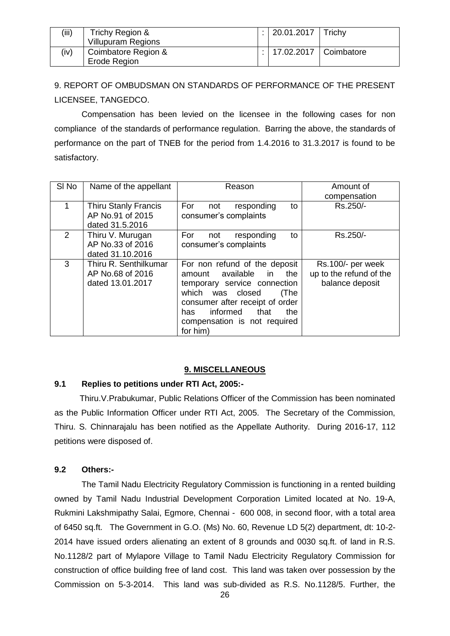| (iii) | Trichy Region &<br><b>Villupuram Regions</b> | :   20.01.2017   Trichy     |  |
|-------|----------------------------------------------|-----------------------------|--|
| (iv)  | Coimbatore Region &<br>Erode Region          | :   17.02.2017   Coimbatore |  |

9. REPORT OF OMBUDSMAN ON STANDARDS OF PERFORMANCE OF THE PRESENT LICENSEE, TANGEDCO.

Compensation has been levied on the licensee in the following cases for non compliance of the standards of performance regulation. Barring the above, the standards of performance on the part of TNEB for the period from 1.4.2016 to 31.3.2017 is found to be satisfactory.

| SI No | Name of the appellant                                         | Reason                                                                                                                                                                                                                                              | Amount of                                                       |
|-------|---------------------------------------------------------------|-----------------------------------------------------------------------------------------------------------------------------------------------------------------------------------------------------------------------------------------------------|-----------------------------------------------------------------|
|       |                                                               |                                                                                                                                                                                                                                                     | compensation                                                    |
| 1     | <b>Thiru Stanly Francis</b><br>AP No.91 of 2015               | For<br>responding<br>not<br>to<br>consumer's complaints                                                                                                                                                                                             | Rs.250/-                                                        |
|       | dated 31.5.2016                                               |                                                                                                                                                                                                                                                     |                                                                 |
| 2     | Thiru V. Murugan<br>AP No.33 of 2016<br>dated 31.10.2016      | For<br>responding<br>to<br>not<br>consumer's complaints                                                                                                                                                                                             | Rs.250/-                                                        |
| 3     | Thiru R. Senthilkumar<br>AP No.68 of 2016<br>dated 13.01.2017 | For non refund of the deposit<br>available<br>the<br>in.<br>amount<br>temporary service connection<br>which<br>was closed<br>(The<br>consumer after receipt of order<br>informed<br>that<br>the<br>has.<br>compensation is not required<br>for him) | Rs.100/- per week<br>up to the refund of the<br>balance deposit |

#### **9. MISCELLANEOUS**

### **9.1 Replies to petitions under RTI Act, 2005:-**

Thiru.V.Prabukumar, Public Relations Officer of the Commission has been nominated as the Public Information Officer under RTI Act, 2005. The Secretary of the Commission, Thiru. S. Chinnarajalu has been notified as the Appellate Authority. During 2016-17, 112 petitions were disposed of.

# **9.2 Others:-**

The Tamil Nadu Electricity Regulatory Commission is functioning in a rented building owned by Tamil Nadu Industrial Development Corporation Limited located at No. 19-A, Rukmini Lakshmipathy Salai, Egmore, Chennai - 600 008, in second floor, with a total area of 6450 sq.ft. The Government in G.O. (Ms) No. 60, Revenue LD 5(2) department, dt: 10-2- 2014 have issued orders alienating an extent of 8 grounds and 0030 sq.ft. of land in R.S. No.1128/2 part of Mylapore Village to Tamil Nadu Electricity Regulatory Commission for construction of office building free of land cost. This land was taken over possession by the Commission on 5-3-2014. This land was sub-divided as R.S. No.1128/5. Further, the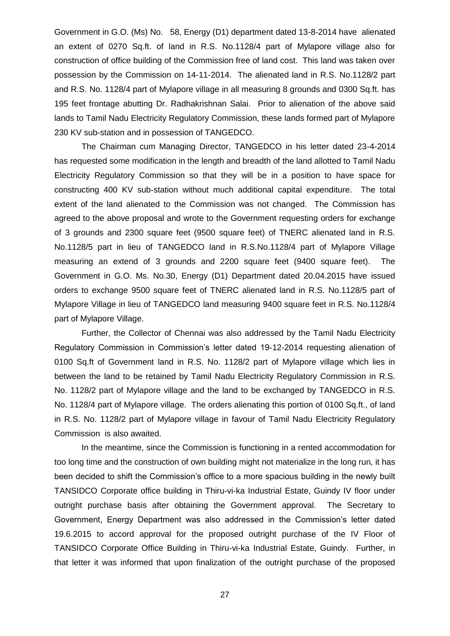Government in G.O. (Ms) No. 58, Energy (D1) department dated 13-8-2014 have alienated an extent of 0270 Sq.ft. of land in R.S. No.1128/4 part of Mylapore village also for construction of office building of the Commission free of land cost. This land was taken over possession by the Commission on 14-11-2014. The alienated land in R.S. No.1128/2 part and R.S. No. 1128/4 part of Mylapore village in all measuring 8 grounds and 0300 Sq.ft. has 195 feet frontage abutting Dr. Radhakrishnan Salai. Prior to alienation of the above said lands to Tamil Nadu Electricity Regulatory Commission, these lands formed part of Mylapore 230 KV sub-station and in possession of TANGEDCO.

The Chairman cum Managing Director, TANGEDCO in his letter dated 23-4-2014 has requested some modification in the length and breadth of the land allotted to Tamil Nadu Electricity Regulatory Commission so that they will be in a position to have space for constructing 400 KV sub-station without much additional capital expenditure. The total extent of the land alienated to the Commission was not changed. The Commission has agreed to the above proposal and wrote to the Government requesting orders for exchange of 3 grounds and 2300 square feet (9500 square feet) of TNERC alienated land in R.S. No.1128/5 part in lieu of TANGEDCO land in R.S.No.1128/4 part of Mylapore Village measuring an extend of 3 grounds and 2200 square feet (9400 square feet). The Government in G.O. Ms. No.30, Energy (D1) Department dated 20.04.2015 have issued orders to exchange 9500 square feet of TNERC alienated land in R.S. No.1128/5 part of Mylapore Village in lieu of TANGEDCO land measuring 9400 square feet in R.S. No.1128/4 part of Mylapore Village.

Further, the Collector of Chennai was also addressed by the Tamil Nadu Electricity Regulatory Commission in Commission's letter dated 19-12-2014 requesting alienation of 0100 Sq.ft of Government land in R.S. No. 1128/2 part of Mylapore village which lies in between the land to be retained by Tamil Nadu Electricity Regulatory Commission in R.S. No. 1128/2 part of Mylapore village and the land to be exchanged by TANGEDCO in R.S. No. 1128/4 part of Mylapore village. The orders alienating this portion of 0100 Sq.ft., of land in R.S. No. 1128/2 part of Mylapore village in favour of Tamil Nadu Electricity Regulatory Commission is also awaited.

In the meantime, since the Commission is functioning in a rented accommodation for too long time and the construction of own building might not materialize in the long run, it has been decided to shift the Commission's office to a more spacious building in the newly built TANSIDCO Corporate office building in Thiru-vi-ka Industrial Estate, Guindy IV floor under outright purchase basis after obtaining the Government approval. The Secretary to Government, Energy Department was also addressed in the Commission's letter dated 19.6.2015 to accord approval for the proposed outright purchase of the IV Floor of TANSIDCO Corporate Office Building in Thiru-vi-ka Industrial Estate, Guindy. Further, in that letter it was informed that upon finalization of the outright purchase of the proposed

27